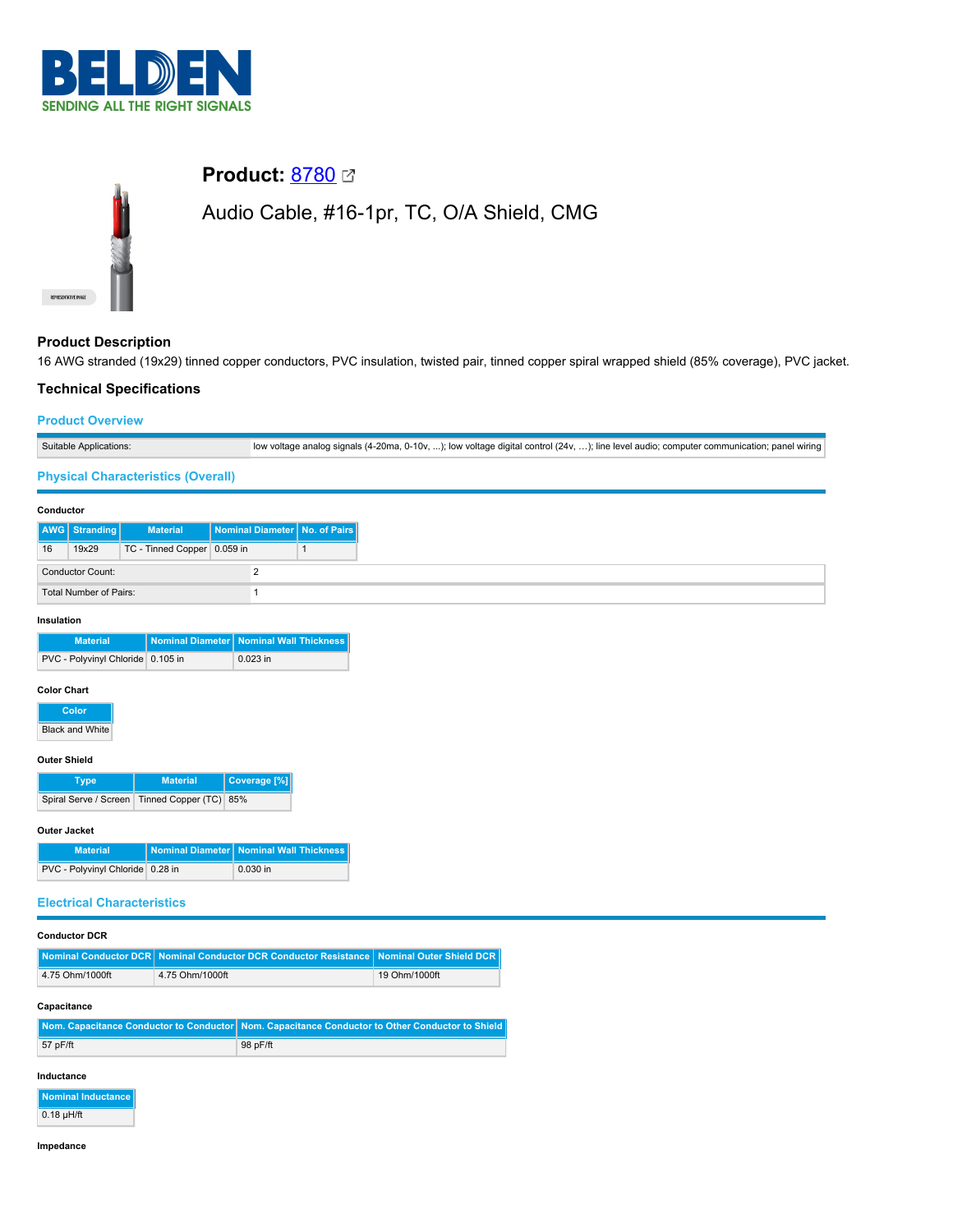



# **Product: [8780](https://catalog.belden.com/index.cfm?event=pd&p=PF_8780&tab=downloads) 2**

# Audio Cable, #16-1pr, TC, O/A Shield, CMG

## **Product Description**

16 AWG stranded (19x29) tinned copper conductors, PVC insulation, twisted pair, tinned copper spiral wrapped shield (85% coverage), PVC jacket.

# **Technical Specifications**

### **Product Overview**

| Suitable Applications: | low voltage analog signals (4-20ma, 0-10v, ); low voltage digital control (24v, ); line level audio; computer communication; panel wiring |
|------------------------|-------------------------------------------------------------------------------------------------------------------------------------------|

### **Physical Characteristics (Overall)**

#### **Conductor**

|                         | AWG Stranding | <b>Material</b>             |  | Nominal Diameter No. of Pairs |
|-------------------------|---------------|-----------------------------|--|-------------------------------|
| 16                      | 19x29         | TC - Tinned Copper 0.059 in |  |                               |
| <b>Conductor Count:</b> |               |                             |  |                               |
| Total Number of Pairs:  |               |                             |  |                               |

#### **Insulation**

| <b>Material</b>                   | Nominal Diameter   Nominal Wall Thickness |
|-----------------------------------|-------------------------------------------|
| PVC - Polyvinyl Chloride 0.105 in | $0.023$ in                                |

#### **Color Chart**

**Color**

**Black and White** 

#### **Outer Shield**

| Type                                         | <b>Material</b> | Coverage [%] |
|----------------------------------------------|-----------------|--------------|
| Spiral Serve / Screen Tinned Copper (TC) 85% |                 |              |

#### **Outer Jacket**

| <b>Material</b>                  | │ Nominal Diameter │ Nominal Wall Thickness │ |
|----------------------------------|-----------------------------------------------|
| PVC - Polyvinyl Chloride 0.28 in | $0.030$ in                                    |

### **Electrical Characteristics**

|                 | Nominal Conductor DCR Nominal Conductor DCR Conductor Resistance Nominal Outer Shield DCR |               |
|-----------------|-------------------------------------------------------------------------------------------|---------------|
| 4.75 Ohm/1000ft | 4.75 Ohm/1000ft                                                                           | 19 Ohm/1000ft |
| Capacitance     |                                                                                           |               |

|            | ll Nom. Capacitance Conductor to Conductor   Nom. Capacitance Conductor to Other Conductor to Shield |
|------------|------------------------------------------------------------------------------------------------------|
| $57$ pF/ft | 98 pF/ft                                                                                             |
|            |                                                                                                      |

## **Inductance**

| Nominal Inductance |
|--------------------|
| $0.18$ µH/ft       |

#### **Impedance**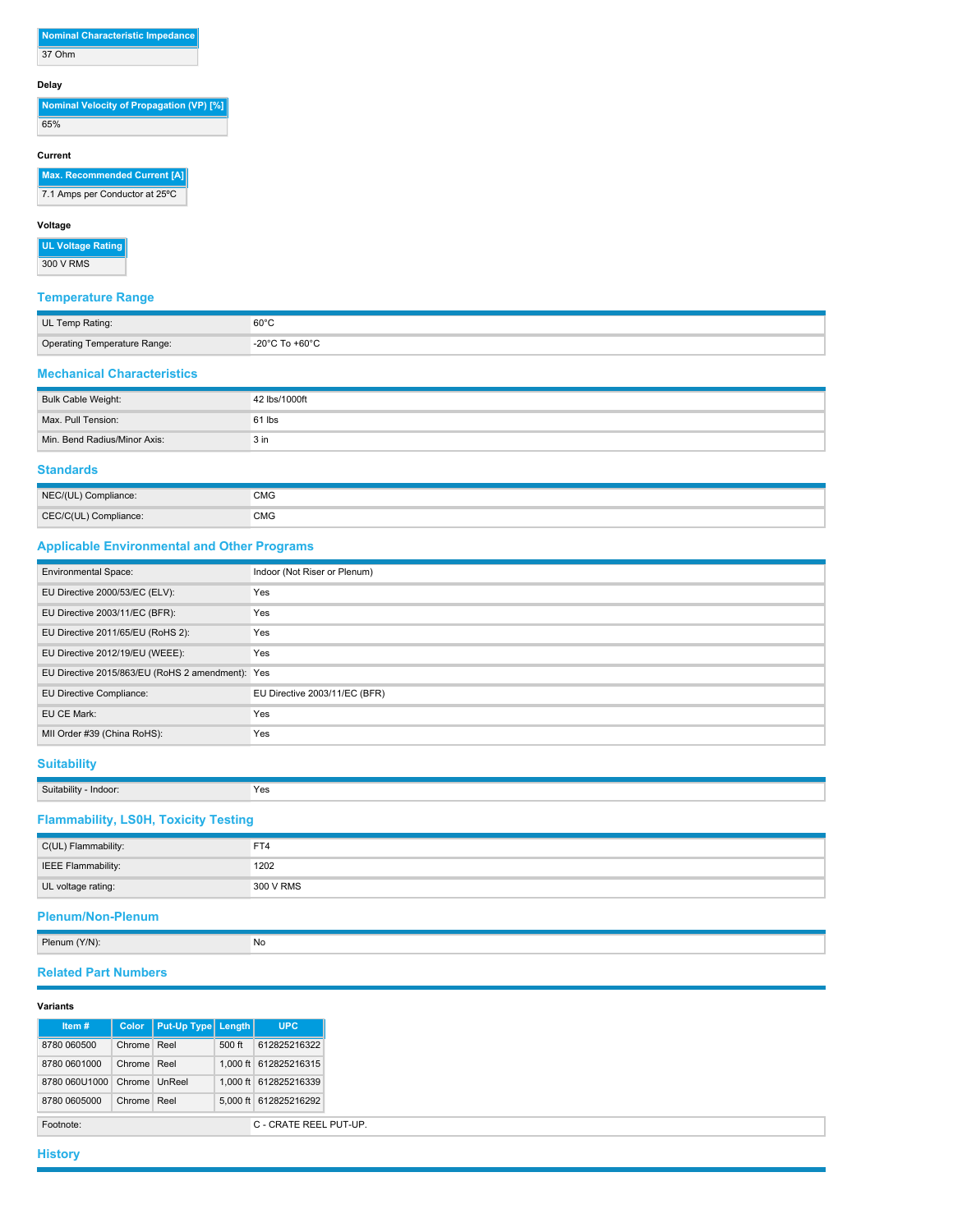**Nominal Characteristic Impedance** 37 Ohm

#### **Delay**

**Nominal Velocity of Propagation (VP) [%]** 65%

### **Current**

**Max. Recommended Current [A]**

7.1 Amps per Conductor at 25ºC

### **Voltage**

**UL Voltage Rating** 300 V RMS

## **Temperature Range**

| UL Temp Rating:              | $60^{\circ}$ C |
|------------------------------|----------------|
| Operating Temperature Range: | -20°C To +60°C |
|                              |                |

### **Mechanical Characteristics**

| Bulk Cable Weight:           | 42 lbs/1000ft   |
|------------------------------|-----------------|
| Max. Pull Tension:           | 61 lbs          |
| Min. Bend Radius/Minor Axis: | 3 <sub>in</sub> |

## **Standards**

| NEC/(UL) Compliance:  | <b>CMG</b> |
|-----------------------|------------|
| CEC/C(UL) Compliance: | <b>CMG</b> |

## **Applicable Environmental and Other Programs**

| <b>Environmental Space:</b>                      | Indoor (Not Riser or Plenum)  |
|--------------------------------------------------|-------------------------------|
| EU Directive 2000/53/EC (ELV):                   | Yes                           |
| EU Directive 2003/11/EC (BFR):                   | Yes                           |
| EU Directive 2011/65/EU (RoHS 2):                | Yes                           |
| EU Directive 2012/19/EU (WEEE):                  | Yes                           |
| EU Directive 2015/863/EU (RoHS 2 amendment): Yes |                               |
| EU Directive Compliance:                         | EU Directive 2003/11/EC (BFR) |
| EU CE Mark:                                      | Yes                           |
| MII Order #39 (China RoHS):                      | Yes                           |

### **Suitability**

**Suitability - Indoor:** Yes

# **Flammability, LS0H, Toxicity Testing**

| C(UL) Flammability: | FT4       |
|---------------------|-----------|
| IEEE Flammability:  | 1202      |
| UL voltage rating:  | 300 V RMS |

# **Plenum/Non-Plenum**

Plenum (Y/N): No

# **Related Part Numbers**

#### **Variants**

| Item#         | Color         | Put-Up Type Length |          | <b>UPC</b>             |
|---------------|---------------|--------------------|----------|------------------------|
| 8780 060500   | Chrome Reel   |                    | $500$ ft | 612825216322           |
| 8780 0601000  | Chrome Reel   |                    |          | 1.000 ft 612825216315  |
| 8780 060U1000 | Chrome UnReel |                    |          | 1.000 ft 612825216339  |
| 8780 0605000  | Chrome Reel   |                    |          | 5.000 ft 612825216292  |
| Footnote:     |               |                    |          | C - CRATE REEL PUT-UP. |

**History**